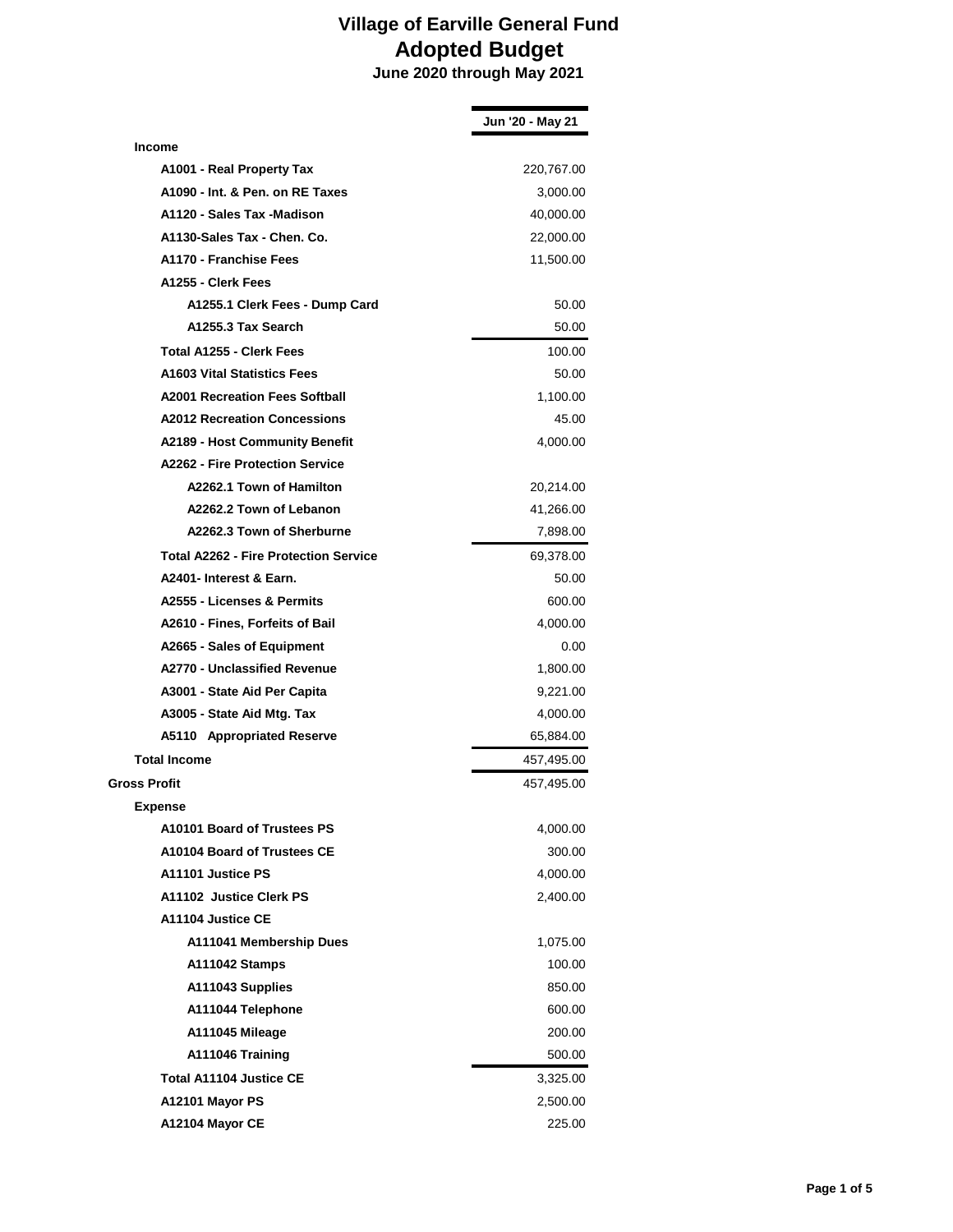|                                              | Jun '20 - May 21 |
|----------------------------------------------|------------------|
| <b>Income</b>                                |                  |
| A1001 - Real Property Tax                    | 220,767.00       |
| A1090 - Int. & Pen. on RE Taxes              | 3,000.00         |
| A1120 - Sales Tax -Madison                   | 40,000.00        |
| A1130-Sales Tax - Chen. Co.                  | 22,000.00        |
| A1170 - Franchise Fees                       | 11,500.00        |
| A1255 - Clerk Fees                           |                  |
| A1255.1 Clerk Fees - Dump Card               | 50.00            |
| A1255.3 Tax Search                           | 50.00            |
| Total A1255 - Clerk Fees                     | 100.00           |
| <b>A1603 Vital Statistics Fees</b>           | 50.00            |
| <b>A2001 Recreation Fees Softball</b>        | 1,100.00         |
| <b>A2012 Recreation Concessions</b>          | 45.00            |
| <b>A2189 - Host Community Benefit</b>        | 4,000.00         |
| <b>A2262 - Fire Protection Service</b>       |                  |
| A2262.1 Town of Hamilton                     | 20,214.00        |
| A2262.2 Town of Lebanon                      | 41,266.00        |
| A2262.3 Town of Sherburne                    | 7,898.00         |
| <b>Total A2262 - Fire Protection Service</b> | 69,378.00        |
| A2401- Interest & Earn.                      | 50.00            |
| A2555 - Licenses & Permits                   | 600.00           |
| A2610 - Fines, Forfeits of Bail              | 4,000.00         |
| A2665 - Sales of Equipment                   | 0.00             |
| A2770 - Unclassified Revenue                 | 1,800.00         |
| A3001 - State Aid Per Capita                 | 9,221.00         |
| A3005 - State Aid Mtg. Tax                   | 4,000.00         |
| A5110 Appropriated Reserve                   | 65,884.00        |
| <b>Total Income</b>                          | 457,495.00       |
| Gross Profit                                 | 457,495.00       |
| <b>Expense</b>                               |                  |
| A10101 Board of Trustees PS                  | 4,000.00         |
| A10104 Board of Trustees CE                  | 300.00           |
| A11101 Justice PS                            | 4,000.00         |
| A11102 Justice Clerk PS                      | 2,400.00         |
| A11104 Justice CE                            |                  |
| A111041 Membership Dues                      | 1,075.00         |
| A111042 Stamps                               | 100.00           |
| A111043 Supplies                             | 850.00           |
| A111044 Telephone                            | 600.00           |
| A111045 Mileage                              | 200.00           |
| A111046 Training                             | 500.00           |
| <b>Total A11104 Justice CE</b>               | 3,325.00         |
| A12101 Mayor PS                              | 2,500.00         |
| A12104 Mayor CE                              | 225.00           |
|                                              |                  |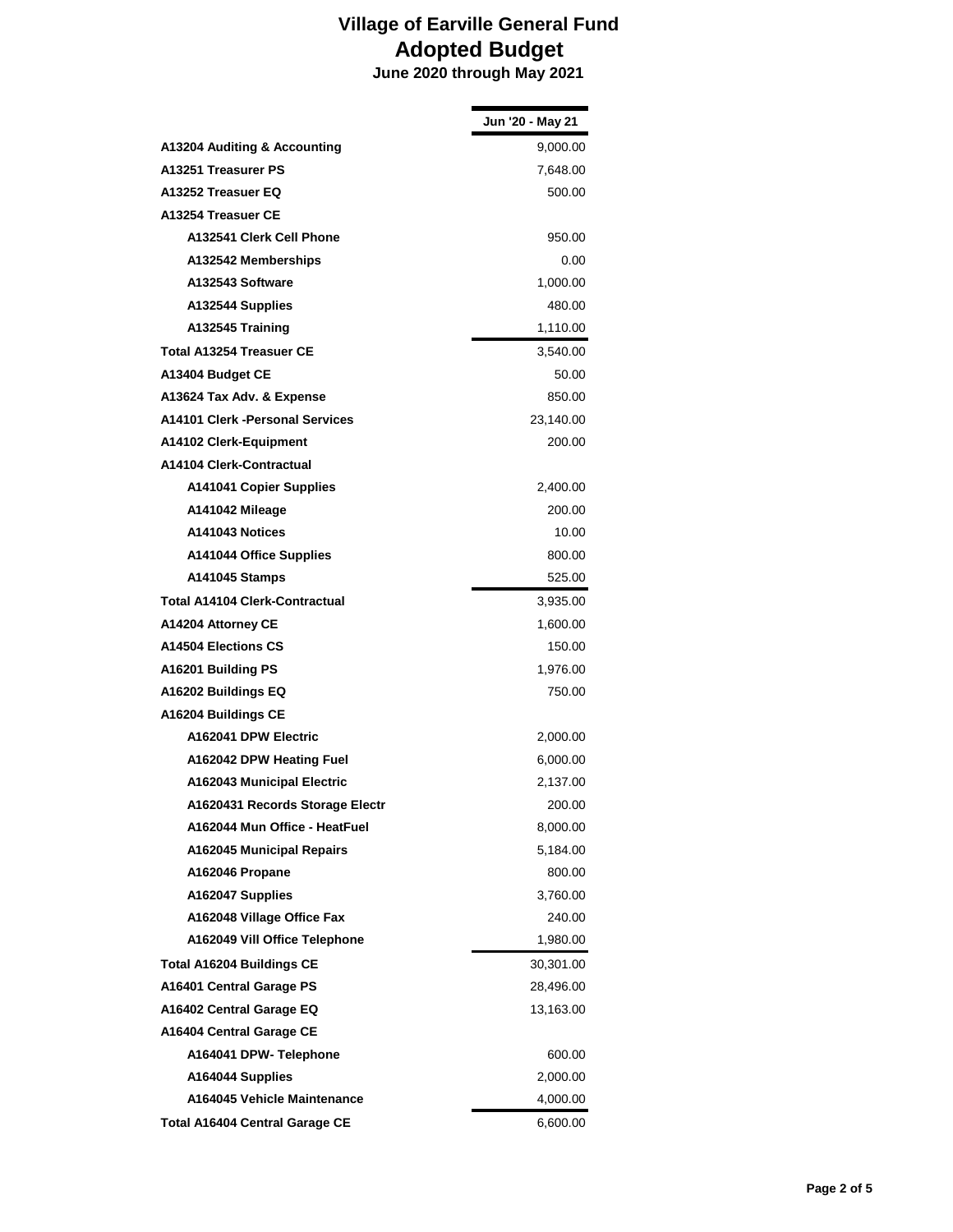|                                       | Jun '20 - May 21 |
|---------------------------------------|------------------|
| A13204 Auditing & Accounting          | 9,000.00         |
| A13251 Treasurer PS                   | 7,648.00         |
| A13252 Treasuer EQ                    | 500.00           |
| A13254 Treasuer CE                    |                  |
| A132541 Clerk Cell Phone              | 950.00           |
| A132542 Memberships                   | 0.00             |
| A132543 Software                      | 1,000.00         |
| A132544 Supplies                      | 480.00           |
| A132545 Training                      | 1,110.00         |
| <b>Total A13254 Treasuer CE</b>       | 3,540.00         |
| A13404 Budget CE                      | 50.00            |
| A13624 Tax Adv. & Expense             | 850.00           |
| A14101 Clerk - Personal Services      | 23,140.00        |
| A14102 Clerk-Equipment                | 200.00           |
| A14104 Clerk-Contractual              |                  |
| <b>A141041 Copier Supplies</b>        | 2,400.00         |
| A141042 Mileage                       | 200.00           |
| A141043 Notices                       | 10.00            |
| A141044 Office Supplies               | 800.00           |
| A141045 Stamps                        | 525.00           |
| <b>Total A14104 Clerk-Contractual</b> | 3,935.00         |
| A14204 Attorney CE                    | 1,600.00         |
| <b>A14504 Elections CS</b>            | 150.00           |
| A16201 Building PS                    | 1,976.00         |
| A16202 Buildings EQ                   | 750.00           |
| A16204 Buildings CE                   |                  |
| A162041 DPW Electric                  | 2,000.00         |
| A162042 DPW Heating Fuel              | 6,000.00         |
| A162043 Municipal Electric            | 2,137.00         |
| A1620431 Records Storage Electr       | 200.00           |
| A162044 Mun Office - HeatFuel         | 8,000.00         |
| <b>A162045 Municipal Repairs</b>      | 5,184.00         |
| A162046 Propane                       | 800.00           |
| A162047 Supplies                      | 3,760.00         |
| A162048 Village Office Fax            | 240.00           |
| A162049 Vill Office Telephone         | 1,980.00         |
| <b>Total A16204 Buildings CE</b>      | 30,301.00        |
| A16401 Central Garage PS              | 28,496.00        |
| A16402 Central Garage EQ              | 13,163.00        |
| A16404 Central Garage CE              |                  |
| A164041 DPW- Telephone                | 600.00           |
| A164044 Supplies                      | 2,000.00         |
| A164045 Vehicle Maintenance           | 4,000.00         |
| <b>Total A16404 Central Garage CE</b> | 6,600.00         |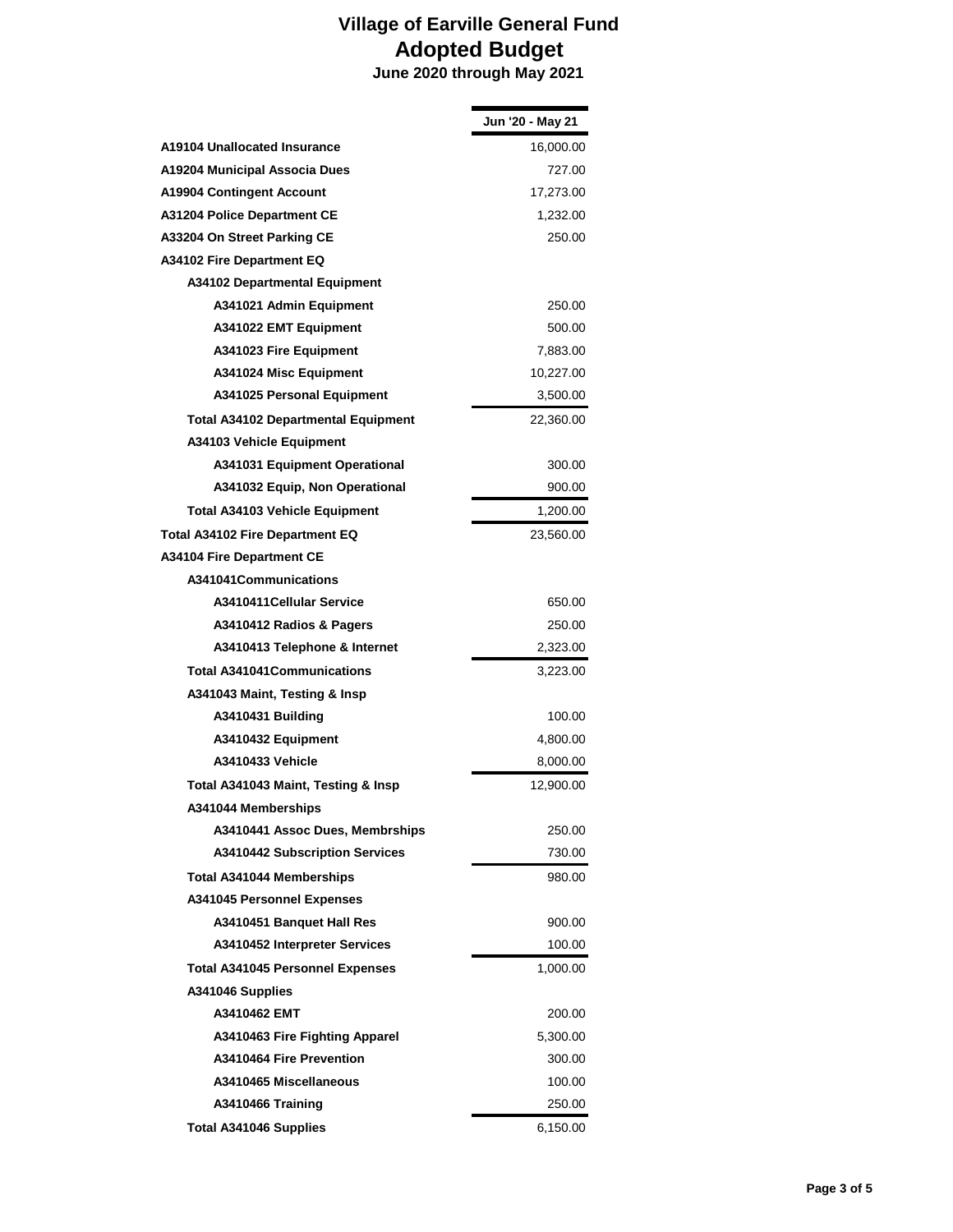|                                            | Jun '20 - May 21 |
|--------------------------------------------|------------------|
| A19104 Unallocated Insurance               | 16,000.00        |
| A19204 Municipal Associa Dues              | 727.00           |
| A19904 Contingent Account                  | 17,273.00        |
| A31204 Police Department CE                | 1,232.00         |
| A33204 On Street Parking CE                | 250.00           |
| A34102 Fire Department EQ                  |                  |
| <b>A34102 Departmental Equipment</b>       |                  |
| A341021 Admin Equipment                    | 250.00           |
| A341022 EMT Equipment                      | 500.00           |
| A341023 Fire Equipment                     | 7,883.00         |
| A341024 Misc Equipment                     | 10,227.00        |
| A341025 Personal Equipment                 | 3,500.00         |
| <b>Total A34102 Departmental Equipment</b> | 22,360.00        |
| <b>A34103 Vehicle Equipment</b>            |                  |
| A341031 Equipment Operational              | 300.00           |
| A341032 Equip, Non Operational             | 900.00           |
| <b>Total A34103 Vehicle Equipment</b>      | 1,200.00         |
| Total A34102 Fire Department EQ            | 23,560.00        |
| <b>A34104 Fire Department CE</b>           |                  |
| A341041Communications                      |                  |
| A3410411 Cellular Service                  | 650.00           |
| A3410412 Radios & Pagers                   | 250.00           |
| A3410413 Telephone & Internet              | 2,323.00         |
| <b>Total A341041Communications</b>         | 3,223.00         |
| A341043 Maint, Testing & Insp              |                  |
| A3410431 Building                          | 100.00           |
| A3410432 Equipment                         | 4,800.00         |
| <b>A3410433 Vehicle</b>                    | 8,000.00         |
| Total A341043 Maint, Testing & Insp        | 12,900.00        |
| A341044 Memberships                        |                  |
| A3410441 Assoc Dues, Membrships            | 250.00           |
| A3410442 Subscription Services             | 730.00           |
| <b>Total A341044 Memberships</b>           | 980.00           |
| <b>A341045 Personnel Expenses</b>          |                  |
| A3410451 Banquet Hall Res                  | 900.00           |
| A3410452 Interpreter Services              | 100.00           |
| <b>Total A341045 Personnel Expenses</b>    | 1,000.00         |
| A341046 Supplies                           |                  |
| A3410462 EMT                               | 200.00           |
| A3410463 Fire Fighting Apparel             | 5,300.00         |
| A3410464 Fire Prevention                   | 300.00           |
| A3410465 Miscellaneous                     | 100.00           |
| A3410466 Training                          | 250.00           |
| <b>Total A341046 Supplies</b>              | 6,150.00         |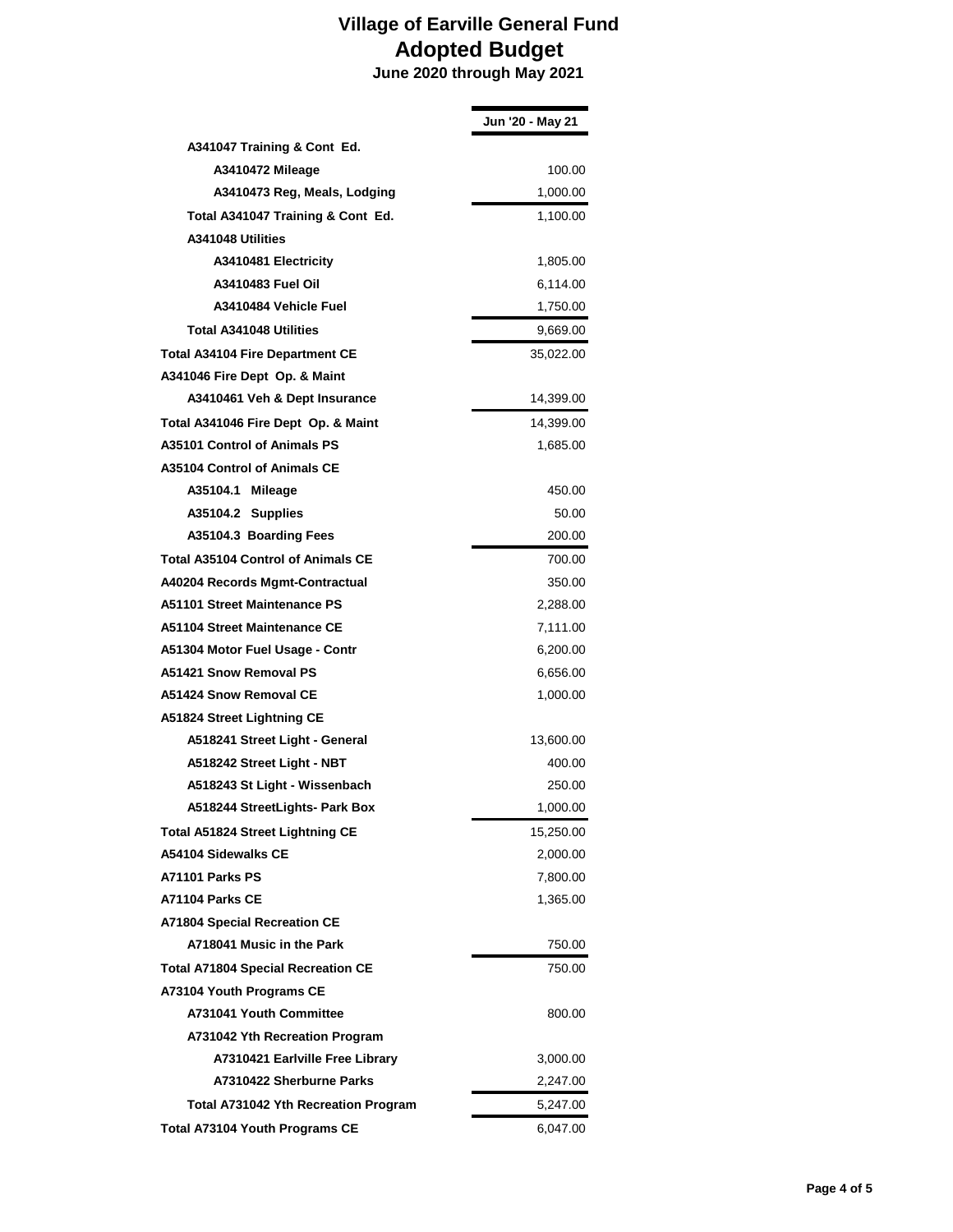|                                           | Jun '20 - May 21 |
|-------------------------------------------|------------------|
| A341047 Training & Cont Ed.               |                  |
| A3410472 Mileage                          | 100.00           |
| A3410473 Reg, Meals, Lodging              | 1,000.00         |
| Total A341047 Training & Cont Ed.         | 1,100.00         |
| A341048 Utilities                         |                  |
| A3410481 Electricity                      | 1,805.00         |
| A3410483 Fuel Oil                         | 6,114.00         |
| A3410484 Vehicle Fuel                     | 1,750.00         |
| <b>Total A341048 Utilities</b>            | 9,669.00         |
| <b>Total A34104 Fire Department CE</b>    | 35,022.00        |
| A341046 Fire Dept Op. & Maint             |                  |
| A3410461 Veh & Dept Insurance             | 14,399.00        |
| Total A341046 Fire Dept Op. & Maint       | 14,399.00        |
| A35101 Control of Animals PS              | 1,685.00         |
| <b>A35104 Control of Animals CE</b>       |                  |
| A35104.1<br><b>Mileage</b>                | 450.00           |
| A35104.2 Supplies                         | 50.00            |
| A35104.3 Boarding Fees                    | 200.00           |
| <b>Total A35104 Control of Animals CE</b> | 700.00           |
| A40204 Records Mgmt-Contractual           | 350.00           |
| A51101 Street Maintenance PS              | 2,288.00         |
| A51104 Street Maintenance CE              | 7,111.00         |
| A51304 Motor Fuel Usage - Contr           | 6,200.00         |
| A51421 Snow Removal PS                    | 6,656.00         |
| <b>A51424 Snow Removal CE</b>             | 1,000.00         |
| A51824 Street Lightning CE                |                  |
| A518241 Street Light - General            | 13,600.00        |
| A518242 Street Light - NBT                | 400.00           |
| A518243 St Light - Wissenbach             | 250.00           |
| A518244 StreetLights- Park Box            | 1,000.00         |
| <b>Total A51824 Street Lightning CE</b>   | 15,250.00        |
| A54104 Sidewalks CE                       | 2,000.00         |
| A71101 Parks PS                           | 7,800.00         |
| A71104 Parks CE                           | 1,365.00         |
| <b>A71804 Special Recreation CE</b>       |                  |
| A718041 Music in the Park                 | 750.00           |
| <b>Total A71804 Special Recreation CE</b> | 750.00           |
| A73104 Youth Programs CE                  |                  |
| A731041 Youth Committee                   | 800.00           |
| A731042 Yth Recreation Program            |                  |
| A7310421 Earlville Free Library           | 3,000.00         |
| A7310422 Sherburne Parks                  | 2,247.00         |
| Total A731042 Yth Recreation Program      | 5,247.00         |
| <b>Total A73104 Youth Programs CE</b>     | 6,047.00         |